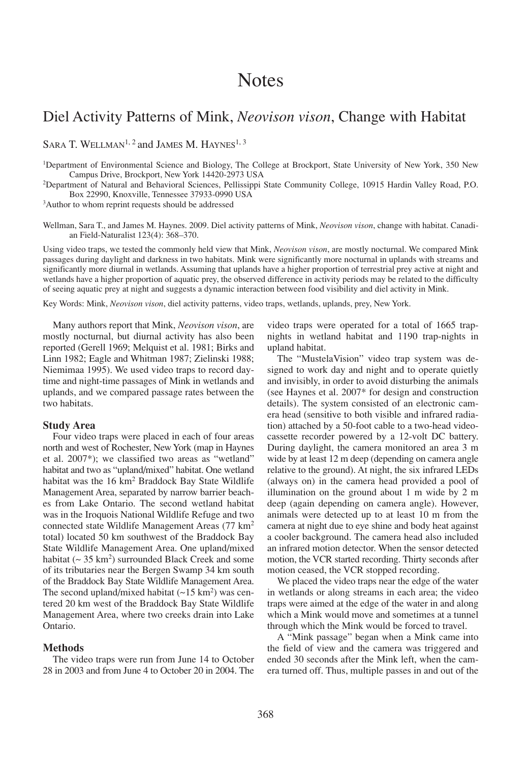# **Notes**

# Diel Activity Patterns of Mink, *Neovison vison*, Change with Habitat

SARA T. WELLMAN<sup>1, 2</sup> and JAMES M. HAYNES<sup>1, 3</sup>

1Department of Environmental Science and Biology, The College at Brockport, State University of New York, 350 New Campus Drive, Brockport, New York 14420-2973 USA

2Department of Natural and Behavioral Sciences, Pellissippi State Community College, 10915 Hardin Valley Road, P.O. Box 22990, Knoxville, Tennessee 37933-0990 USA

3Author to whom reprint requests should be addressed

Wellman, Sara T., and James M. Haynes. 2009. Diel activity patterns of Mink, *Neovison vison*, change with habitat. Canadian Field-Naturalist 123(4): 368–370.

Using video traps, we tested the commonly held view that Mink, *Neovison vison*, are mostly nocturnal. We compared Mink passages during daylight and darkness in two habitats. Mink were significantly more nocturnal in uplands with streams and significantly more diurnal in wetlands. Assuming that uplands have a higher proportion of terrestrial prey active at night and wetlands have a higher proportion of aquatic prey, the observed difference in activity periods may be related to the difficulty of seeing aquatic prey at night and suggests a dynamic interaction between food visibility and diel activity in Mink.

Key Words: Mink, *Neovison vison*, diel activity patterns, video traps, wetlands, uplands, prey, New York.

Many authors report that Mink, *Neovison vison*, are mostly nocturnal, but diurnal activity has also been reported (Gerell 1969; Melquist et al. 1981; Birks and Linn 1982; Eagle and Whitman 1987; Zielinski 1988; Niemimaa 1995). We used video traps to record daytime and night-time passages of Mink in wetlands and uplands, and we compared passage rates between the two habitats.

#### **Study Area**

Four video traps were placed in each of four areas north and west of Rochester, NewYork (map in Haynes et al. 2007\*); we classified two areas as "wetland" habitat and two as "upland/mixed" habitat. One wetland habitat was the 16 km<sup>2</sup> Braddock Bay State Wildlife Management Area, separated by narrow barrier beaches from Lake Ontario. The second wetland habitat was in the Iroquois National Wildlife Refuge and two connected state Wildlife Management Areas (77 km2 total) located 50 km southwest of the Braddock Bay State Wildlife Management Area. One upland/mixed habitat ( $\sim$  35 km<sup>2</sup>) surrounded Black Creek and some of its tributaries near the Bergen Swamp 34 km south of the Braddock Bay State Wildlife Management Area. The second upland/mixed habitat  $(-15 \text{ km}^2)$  was centered 20 km west of the Braddock Bay State Wildlife Management Area, where two creeks drain into Lake Ontario.

### **Methods**

The video traps were run from June 14 to October 28 in 2003 and from June 4 to October 20 in 2004. The video traps were operated for a total of 1665 trapnights in wetland habitat and 1190 trap-nights in upland habitat.

The "MustelaVision" video trap system was designed to work day and night and to operate quietly and invisibly, in order to avoid disturbing the animals (see Haynes et al. 2007\* for design and construction details). The system consisted of an electronic camera head (sensitive to both visible and infrared radiation) attached by a 50-foot cable to a two-head videocassette recorder powered by a 12-volt DC battery. During daylight, the camera monitored an area 3 m wide by at least 12 m deep (depending on camera angle relative to the ground). At night, the six infrared LEDs (always on) in the camera head provided a pool of illumination on the ground about 1 m wide by 2 m deep (again depending on camera angle). However, animals were detected up to at least 10 m from the camera at night due to eye shine and body heat against a cooler background. The camera head also included an infrared motion detector. When the sensor detected motion, the VCR started recording. Thirty seconds after motion ceased, the VCR stopped recording.

We placed the video traps near the edge of the water in wetlands or along streams in each area; the video traps were aimed at the edge of the water in and along which a Mink would move and sometimes at a tunnel through which the Mink would be forced to travel.

A "Mink passage" began when a Mink came into the field of view and the camera was triggered and ended 30 seconds after the Mink left, when the camera turned off. Thus, multiple passes in and out of the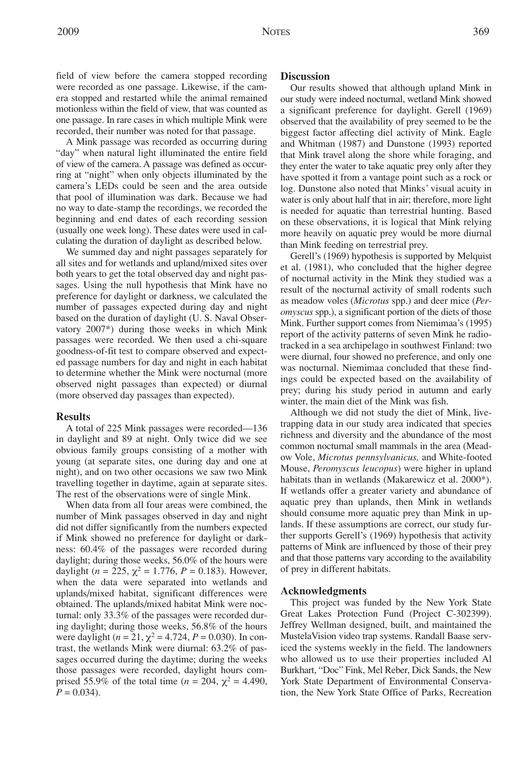A Mink passage was recorded as occurring during "day" when natural light illuminated the entire field of view of the camera. A passage was defined as occurring at "night" when only objects illuminated by the camera's LEDs could be seen and the area outside that pool of illumination was dark. Because we had no way to date-stamp the recordings, we recorded the beginning and end dates of each recording session (usually one week long). These dates were used in calculating the duration of daylight as described below.

We summed day and night passages separately for all sites and for wetlands and upland/mixed sites over both years to get the total observed day and night passages. Using the null hypothesis that Mink have no preference for daylight or darkness, we calculated the number of passages expected during day and night based on the duration of daylight (U. S. Naval Observatory 2007\*) during those weeks in which Mink passages were recorded. We then used a chi-square goodness-of-fit test to compare observed and expected passage numbers for day and night in each habitat to determine whether the Mink were nocturnal (more observed night passages than expected) or diurnal (more observed day passages than expected).

#### **Results**

A total of 225 Mink passages were recorded—136 in daylight and 89 at night. Only twice did we see obvious family groups consisting of a mother with young (at separate sites, one during day and one at night), and on two other occasions we saw two Mink travelling together in daytime, again at separate sites. The rest of the observations were of single Mink.

When data from all four areas were combined, the number of Mink passages observed in day and night did not differ significantly from the numbers expected if Mink showed no preference for daylight or darkness: 60.4% of the passages were recorded during daylight; during those weeks, 56.0% of the hours were daylight ( $n = 225$ ,  $\chi^2 = 1.776$ ,  $P = 0.183$ ). However, when the data were separated into wetlands and uplands/mixed habitat, significant differences were obtained. The uplands/mixed habitat Mink were nocturnal: only 33.3% of the passages were recorded during daylight; during those weeks, 56.8% of the hours were daylight ( $n = 21$ ,  $\chi^2 = 4.724$ ,  $P = 0.030$ ). In contrast, the wetlands Mink were diurnal: 63.2% of passages occurred during the daytime; during the weeks those passages were recorded, daylight hours comprised 55.9% of the total time ( $n = 204$ ,  $\chi^2 = 4.490$ ,  $P = 0.034$ .

#### **Discussion**

Our results showed that although upland Mink in our study were indeed nocturnal, wetland Mink showed a significant preference for daylight. Gerell (1969) observed that the availability of prey seemed to be the biggest factor affecting diel activity of Mink. Eagle and Whitman (1987) and Dunstone (1993) reported that Mink travel along the shore while foraging, and they enter the water to take aquatic prey only after they have spotted it from a vantage point such as a rock or log. Dunstone also noted that Minks' visual acuity in water is only about half that in air; therefore, more light is needed for aquatic than terrestrial hunting. Based on these observations, it is logical that Mink relying more heavily on aquatic prey would be more diurnal than Mink feeding on terrestrial prey.

Gerell's (1969) hypothesis is supported by Melquist et al. (1981), who concluded that the higher degree of nocturnal activity in the Mink they studied was a result of the nocturnal activity of small rodents such as meadow voles (*Microtus* spp.) and deer mice (*Peromyscus* spp.), a significant portion of the diets of those Mink. Further support comes from Niemimaa's (1995) report of the activity patterns of seven Mink he radiotracked in a sea archipelago in southwest Finland: two were diurnal, four showed no preference, and only one was nocturnal. Niemimaa concluded that these findings could be expected based on the availability of prey; during his study period in autumn and early winter, the main diet of the Mink was fish.

Although we did not study the diet of Mink, livetrapping data in our study area indicated that species richness and diversity and the abundance of the most common nocturnal small mammals in the area (Meadow Vole, *Microtus pennsylvanicus,* and White-footed Mouse, *Peromyscus leucopus*) were higher in upland habitats than in wetlands (Makarewicz et al. 2000\*). If wetlands offer a greater variety and abundance of aquatic prey than uplands, then Mink in wetlands should consume more aquatic prey than Mink in uplands. If these assumptions are correct, our study further supports Gerell's (1969) hypothesis that activity patterns of Mink are influenced by those of their prey and that those patterns vary according to the availability of prey in different habitats.

#### **Acknowledgments**

This project was funded by the New York State Great Lakes Protection Fund (Project C-302399). Jeffrey Wellman designed, built, and maintained the MustelaVision video trap systems. Randall Baase serviced the systems weekly in the field. The landowners who allowed us to use their properties included Al Burkhart, "Doc" Fink, Mel Reber, Dick Sands, the New York State Department of Environmental Conservation, the New York State Office of Parks, Recreation